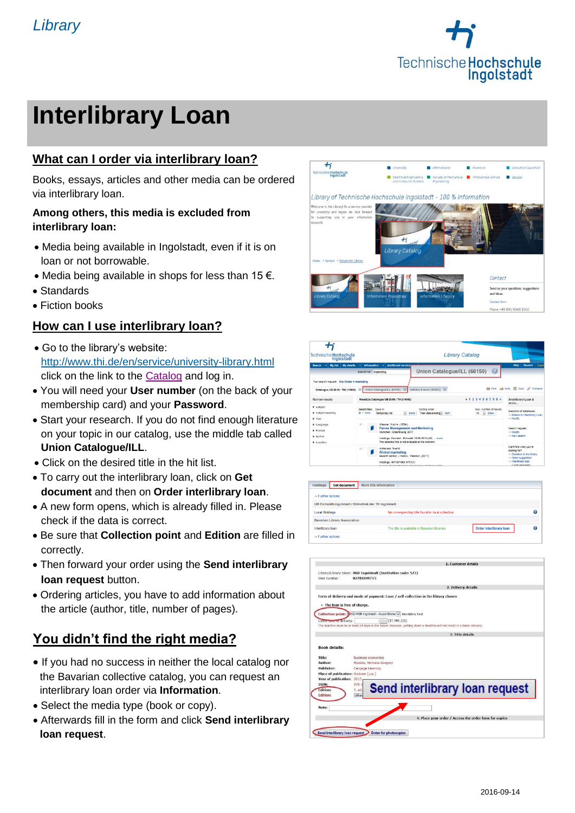

# **Interlibrary Loan**

#### **What can I order via interlibrary loan?**

Books, essays, articles and other media can be ordered via interlibrary loan.

#### **Among others, this media is excluded from interlibrary loan:**

- Media being available in Ingolstadt, even if it is on loan or not borrowable.
- Media being available in shops for less than  $15 \in$ .
- Standards
- **Fiction books**

#### **How can I use interlibrary loan?**

- Go to the library's website: <http://www.thi.de/en/service/university-library.html> click on the link to the [Catalog](https://opac.ku.de/index-hi-en.html_blank) and log in.
- You will need your **User number** (on the back of your membership card) and your **Password**.
- Start your research. If you do not find enough literature on your topic in our catalog, use the middle tab called **Union Catalogue/ILL**.
- Click on the desired title in the hit list.
- To carry out the interlibrary loan, click on **Get document** and then on **Order interlibrary loan**.
- A new form opens, which is already filled in. Please check if the data is correct.
- Be sure that **Collection point** and **Edition** are filled in correctly.
- Then forward your order using the **Send interlibrary loan request** button.
- Ordering articles, you have to add information about the article (author, title, number of pages).

#### **You didn't find the right media?**

- If you had no success in neither the local catalog nor the Bavarian collective catalog, you can request an interlibrary loan order via **Information**.
- Select the media type (book or copy).
- Afterwards fill in the form and click **Send interlibrary loan request**.



| <b>Technische Hochschule</b><br>Ingolstadt                                                                                                           | <b>Library Catalog</b>                                                                                                                                                                                                                                                                                                                                                  |                                                                                                                                       |
|------------------------------------------------------------------------------------------------------------------------------------------------------|-------------------------------------------------------------------------------------------------------------------------------------------------------------------------------------------------------------------------------------------------------------------------------------------------------------------------------------------------------------------------|---------------------------------------------------------------------------------------------------------------------------------------|
| My details   w<br><b>Search</b><br>My list                                                                                                           | <b>Additional services</b><br><b>Information</b><br>$\left(2\right)$<br>Union Catalogue/ILL (66150)<br>Search for: marketing                                                                                                                                                                                                                                            | Deutsch   Log in<br>Help                                                                                                              |
| Your search request. Alle Felder = marketing<br>Catalogue UB EI-IN / THI (14969)                                                                     | Articles & more (362953)<br>Union Catalogue/ILL (66150)                                                                                                                                                                                                                                                                                                                 | Print as Send <sup>6</sup> Seve of Permaink                                                                                           |
| Narrow results                                                                                                                                       | <b>41234567893</b><br>Result(s) Catalogue UB EI-IN / THI (14969)                                                                                                                                                                                                                                                                                                        | Interlibrary Loan &<br>more                                                                                                           |
| $\blacktriangleright$ subject<br>I subject heading<br>> Year<br>$\blacktriangleright$ Language<br>Fermat<br>$\blacktriangleright$ Author<br>Location | Select files: Save in:<br>Sorting order:<br>max number of results.<br>all I none<br>Year (descending x) Sort<br>$\left  \cdot \right $ Show<br>- Save<br><b>Temporary list</b><br>10                                                                                                                                                                                    | Selection of databases:<br>= Extend to Interlbrary Loan<br>to Modify                                                                  |
|                                                                                                                                                      | 75.1<br>Wiesner, Knut A. (1954-)<br><b>Faires Management und Marketing</b><br>München : Oldenbourg, 2017<br>Holdings: Stornlert - Eichstätt 10.06.2015 (40)  more<br>The selected title is not available at the moment                                                                                                                                                  | Search request:<br>- Modify<br>to New search                                                                                          |
|                                                                                                                                                      | Hollensen, Syand<br>西京<br><b>Global marketing</b><br>seventh edition. - Harlow: Pearson. [2017]<br>Holdings: 467/QP 680 H737(7)<br><b>Contact Middle Complete Contact Contact of the Contact of the Contact of the Contact of the Contact of the Contact of the Contact of the Contact of the Contact of the Contact of The Contact of The Contact of The Contact o</b> | Can't find what you're<br>looking for?<br>- Question to the library<br>to Order suggestion<br>= Interlibrary loan<br>(Looks remained) |

| <b>Get document</b><br>Holdings                        | More title information                           |                         |   |
|--------------------------------------------------------|--------------------------------------------------|-------------------------|---|
| so Further options                                     |                                                  |                         |   |
| UB Eichstätt-Ingolstadt / Bibliothek der TH Ingolstadt |                                                  |                         |   |
| <b>Local Holdings</b>                                  | No corresponding title found in local collection |                         | a |
| <b>Bavarian Library Association</b>                    |                                                  |                         |   |
| Interlibrary loan                                      | The title is available in Bavarian libraries.    | Order interlibrary loan | a |
| so Further options                                     |                                                  |                         |   |